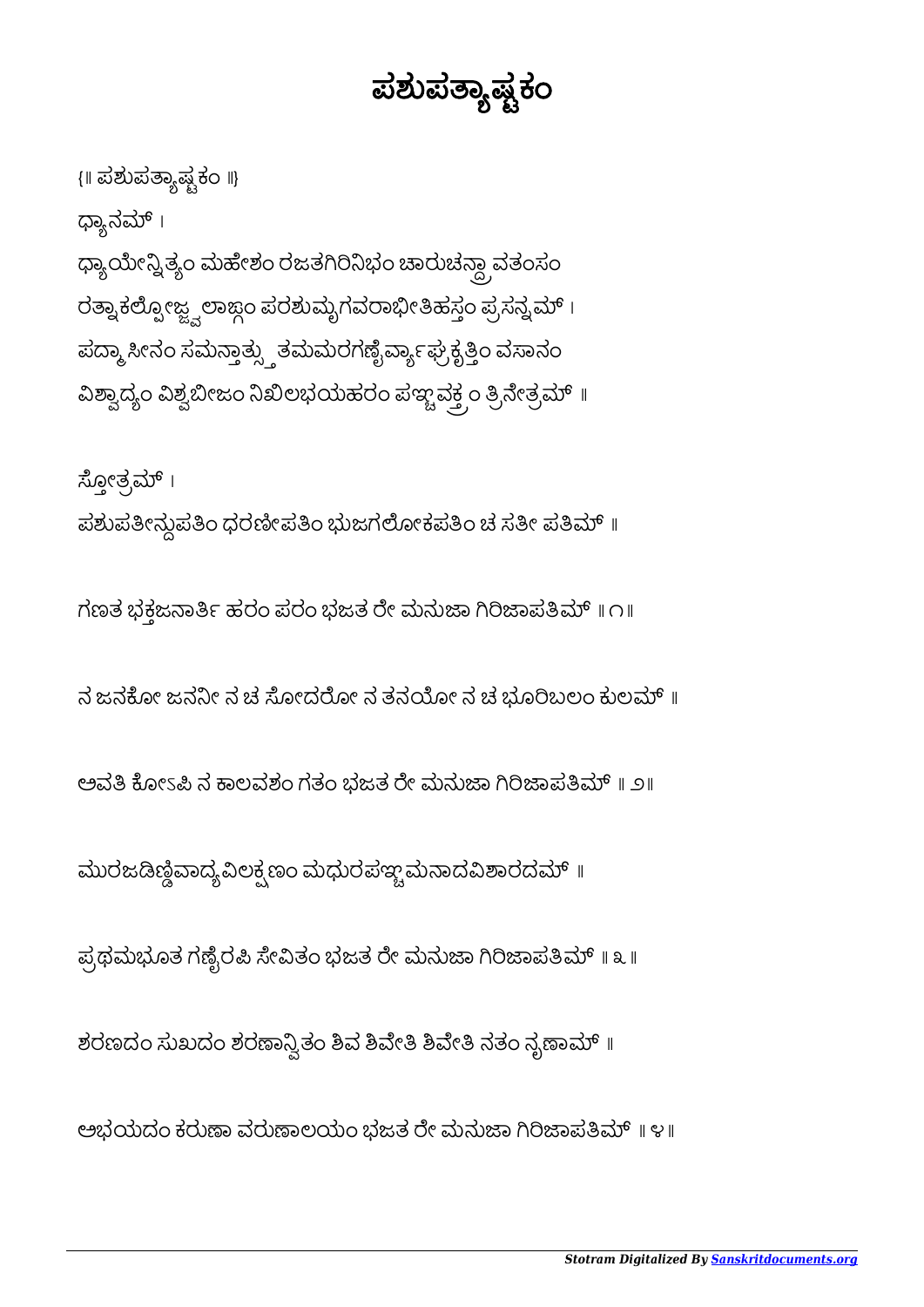ಅಭಯದಂ ಕರುಣಾ ವರುಣಾಲಯಂ ಭಜತ ರೇ ಮನುಜಾ ಗಿರಿಜಾಪತಿಮ್ ॥ ೪॥

ಶರಣದಂ ಸುಖದಂ ಶರಣಾನ್ವಿತಂ ಶಿವ ಶಿವೇತಿ ಶಿವೇತಿ ನತಂ ನೃಣಾಮ್ ॥

ಪ್ರಥಮಭೂತ ಗಣ್ಟೆರಪಿ ಸೇವಿತಂ ಭಜತ ರೇ ಮನುಜಾ ಗಿರಿಜಾಪತಿಮ್ ॥ ೩ ॥

ಮುರಜಡಿಣ್ಣಿವಾದ್ಯವಿಲಕ್ಷಣಂ ಮಧುರಪಞ್ಚಮನಾದವಿಶಾರದಮ್ ॥

ಅವತಿ ಕೋಽಪಿ ನ ಕಾಲವಶಂ ಗತಂ ಭಜತ ರೇ ಮನುಜಾ ಗಿರಿಜಾಪತಿಮ್ ॥ ೨॥

ನ ಜನಕೋ ಜನನೀ ನ ಚ ಸೋದರೋ ನ ತನಯೋ ನ ಚ ಭೂರಿಬಲಂ ಕುಲಮ್ ॥

ಗಣತ ಭಕ್ತಜನಾರ್ತಿ ಹರಂ ಪರಂ ಭಜತ ರೇ ಮನುಜಾ ಗಿರಿಜಾಪತಿಮ್ ॥ ೧॥

ಸ್ಪೋತ್ರಮ್ । ಪಶುಪತೀನ್ಲುಪತಿಂ ಧರಣೀಪತಿಂ ಭುಜಗಲೋಕಪತಿಂ ಚ ಸತೀ ಪತಿಮ್ ॥

ಢ್ಯಾನಮ್ । ಧ್ಯಾಯೇನ್ನಿತ್ಯಂ ಮಹೇಶಂ ರಜತಗಿರಿನಿಭಂ ಚಾರುಚನ್ದಾ ವತಂಸಂ ರತ್ನಾಕಲ್ಪೋಜ್ಜ್ವಲಾಜ್ಗಂ ಪರಶುಮೃಗವರಾಭೀತಿಹಸ್ತಂ ಪ್ರಸನ್ನಮ್ । ಪದ್ಮಾ ಸೀನಂ ಸಮನ್ತಾತ್ಸ್ತುತಮಮರಗಣೈರ್ವ್ಯಾಘ್ರಕ್ಕೆತ್ತಿಂ ವಸಾನಂ ವಿಶ್ವಾದ್ಯಂ ವಿಶ್ವಬೀಜಂ ನಿಖಿಲಭಯಹರಂ ಪಞ್ಚವಕ್ತ್ತಂ ತ್ರಿನೇತ್ರಮ್ ॥

{॥ ಪಶುಪಾಷಕಂ ॥}

ಪಶುಪತ್ಯಾಷ್ಟಕಂ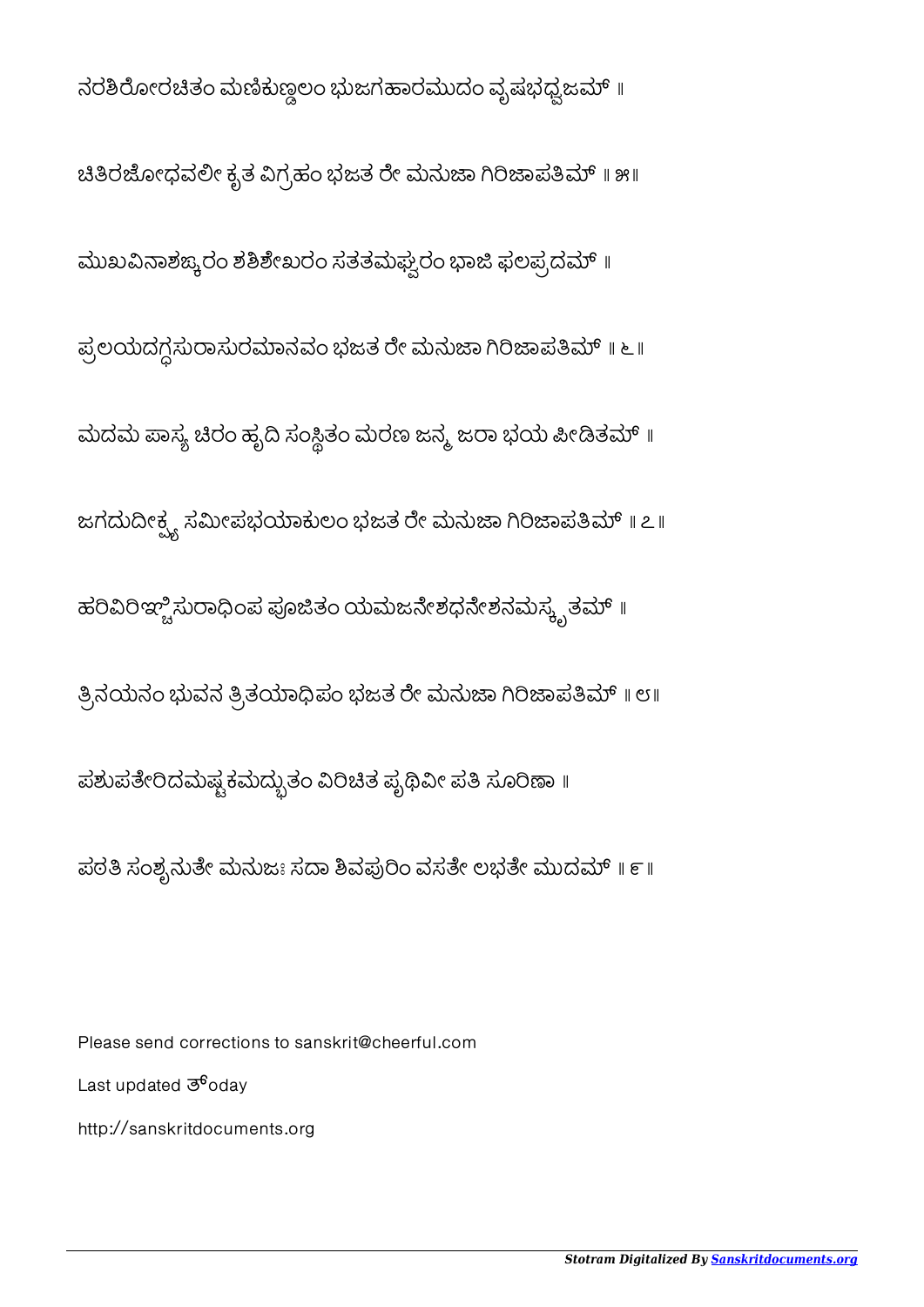## ನರಶಿರೋರಚಿತಂ ಮಣಿಕುಣ್ಣಲಂ ಭುಜಗಹಾರಮುದಂ ವೃಷಭಧ್ವಜಮ್ ॥ ಚಿತಿರಜೋಧವಲೀ ಕೃತ ವಿಗ್ರಹಂ ಭಜತ ರೇ ಮನುಜಾ ಗಿರಿಜಾಪತಿಮ್ ॥ ೫॥ ಮುಖವಿನಾಶಙ್ಕರಂ ಶಶಿಶೇಖರಂ ಸತತಮಘ್ವರಂ ಭಾಜಿ ಫಲಪ್ರದಮ್ ॥ ಪ್ರಲಯದಗ್ಧಸುರಾಸುರಮಾನವಂ ಭಜತ ರೇ ಮನುಜಾ ಗಿರಿಜಾಪತಿಮ್ ॥ ೬ ॥ ಮದಮ ಪಾಸ್ಯ ಚಿರಂ ಹೃದಿ ಸಂಸ್ಥಿತಂ ಮರಣ ಜನ್ಮ ಜರಾ ಭಯ ಪೀಡಿತಮ್ ॥ ಜಗದುದೀಕ್ಷ್ಣ ಸಮೀಪಭಯಾಕುಲಂ ಭಜತ ರೇ ಮನುಜಾ ಗಿರಿಜಾಪತಿಮ್ ॥ ೭॥ ಹರಿವಿರಿಞ್ಚಿಸುರಾಧಿಂಪ ಪೂಜಿತಂ ಯಮಜನೇಶಧನೇಶನಮಸ್ಕೃತಮ್ ॥ ತ್ರಿನಯನಂ ಭುವನ ತ್ರಿತಯಾಧಿಪಂ ಭಜತ ರೇ ಮನುಜಾ ಗಿರಿಜಾಪತಿಮ್ ॥ ೮॥ ಪಶುಪತೇರಿದಮಷ್ಟಕಮದ್ಭುತಂ ವಿರಿಚಿತ ಪೃಥಿವೀ ಪತಿ ಸೂರಿಣಾ ॥ ಪರತಿ ಸಂಶ್ರನುತೇ ಮನುಜಃ ಸದಾ ಶಿವಪುರಿಂ ವಸತೇ ಲಭತೇ ಮುದಮ್ ॥ ೯॥

Please send corrections to sanskrit@cheerful.com Last updated  $\overline{3}^6$ oday http://sanskritdocuments.org